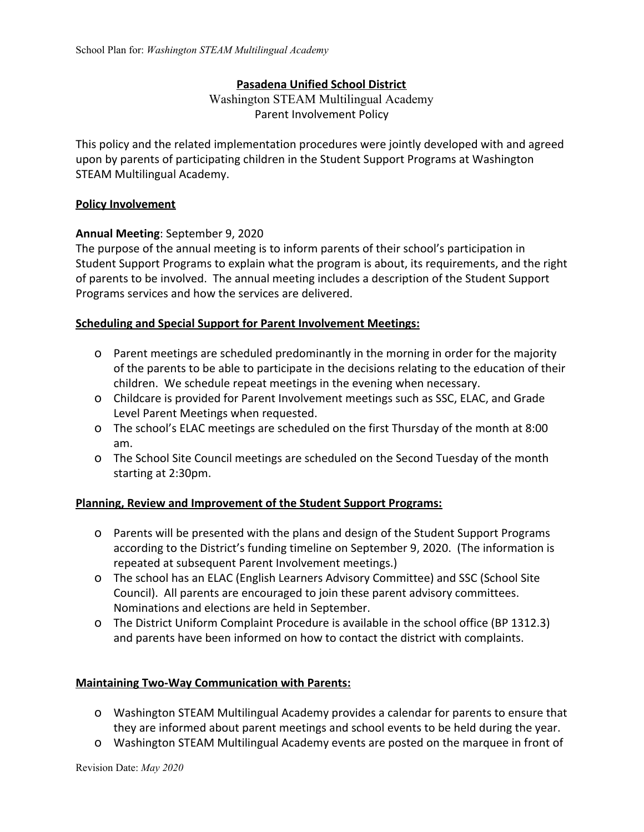# **Pasadena Unified School District**

Washington STEAM Multilingual Academy Parent Involvement Policy

This policy and the related implementation procedures were jointly developed with and agreed upon by parents of participating children in the Student Support Programs at Washington STEAM Multilingual Academy.

### **Policy Involvement**

# **Annual Meeting**: September 9, 2020

The purpose of the annual meeting is to inform parents of their school's participation in Student Support Programs to explain what the program is about, its requirements, and the right of parents to be involved. The annual meeting includes a description of the Student Support Programs services and how the services are delivered.

# **Scheduling and Special Support for Parent Involvement Meetings:**

- o Parent meetings are scheduled predominantly in the morning in order for the majority of the parents to be able to participate in the decisions relating to the education of their children. We schedule repeat meetings in the evening when necessary.
- o Childcare is provided for Parent Involvement meetings such as SSC, ELAC, and Grade Level Parent Meetings when requested.
- o The school's ELAC meetings are scheduled on the first Thursday of the month at 8:00 am.
- o The School Site Council meetings are scheduled on the Second Tuesday of the month starting at 2:30pm.

# **Planning, Review and Improvement of the Student Support Programs:**

- o Parents will be presented with the plans and design of the Student Support Programs according to the District's funding timeline on September 9, 2020. (The information is repeated at subsequent Parent Involvement meetings.)
- o The school has an ELAC (English Learners Advisory Committee) and SSC (School Site Council). All parents are encouraged to join these parent advisory committees. Nominations and elections are held in September.
- o The District Uniform Complaint Procedure is available in the school office (BP 1312.3) and parents have been informed on how to contact the district with complaints.

# **Maintaining Two-Way Communication with Parents:**

- o Washington STEAM Multilingual Academy provides a calendar for parents to ensure that they are informed about parent meetings and school events to be held during the year.
- o Washington STEAM Multilingual Academy events are posted on the marquee in front of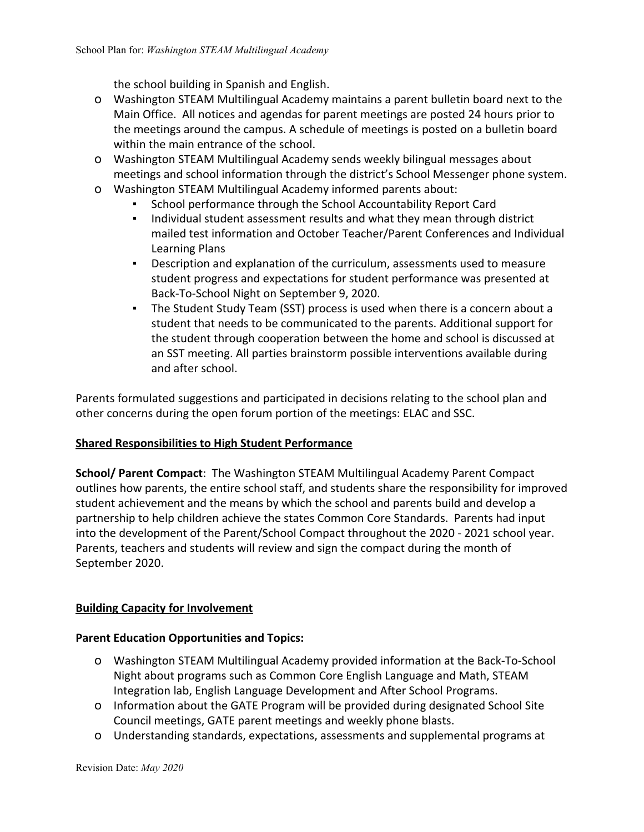the school building in Spanish and English.

- o Washington STEAM Multilingual Academy maintains a parent bulletin board next to the Main Office. All notices and agendas for parent meetings are posted 24 hours prior to the meetings around the campus. A schedule of meetings is posted on a bulletin board within the main entrance of the school.
- o Washington STEAM Multilingual Academy sends weekly bilingual messages about meetings and school information through the district's School Messenger phone system.
- o Washington STEAM Multilingual Academy informed parents about:
	- School performance through the School Accountability Report Card
	- Individual student assessment results and what they mean through district mailed test information and October Teacher/Parent Conferences and Individual Learning Plans
	- Description and explanation of the curriculum, assessments used to measure student progress and expectations for student performance was presented at Back-To-School Night on September 9, 2020.
	- The Student Study Team (SST) process is used when there is a concern about a student that needs to be communicated to the parents. Additional support for the student through cooperation between the home and school is discussed at an SST meeting. All parties brainstorm possible interventions available during and after school.

Parents formulated suggestions and participated in decisions relating to the school plan and other concerns during the open forum portion of the meetings: ELAC and SSC.

# **Shared Responsibilities to High Student Performance**

**School/ Parent Compact**: The Washington STEAM Multilingual Academy Parent Compact outlines how parents, the entire school staff, and students share the responsibility for improved student achievement and the means by which the school and parents build and develop a partnership to help children achieve the states Common Core Standards. Parents had input into the development of the Parent/School Compact throughout the 2020 - 2021 school year. Parents, teachers and students will review and sign the compact during the month of September 2020.

# **Building Capacity for Involvement**

# **Parent Education Opportunities and Topics:**

- o Washington STEAM Multilingual Academy provided information at the Back-To-School Night about programs such as Common Core English Language and Math, STEAM Integration lab, English Language Development and After School Programs.
- o Information about the GATE Program will be provided during designated School Site Council meetings, GATE parent meetings and weekly phone blasts.
- o Understanding standards, expectations, assessments and supplemental programs at